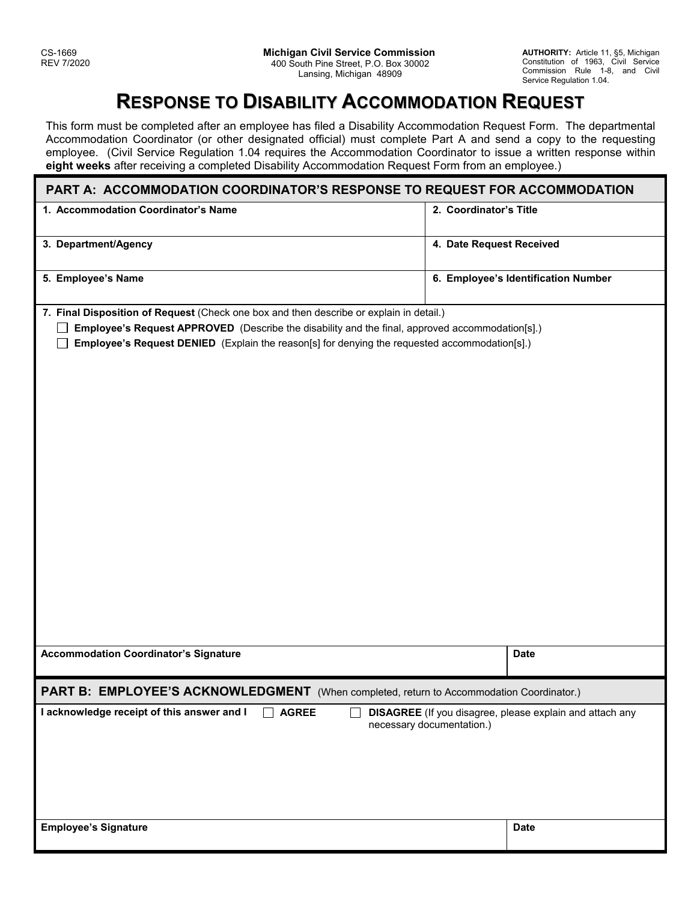## **RESPONSE TO DISABILITY ACCOMMODATION REQUEST**

This form must be completed after an employee has filed a Disability Accommodation Request Form. The departmental Accommodation Coordinator (or other designated official) must complete Part A and send a copy to the requesting employee. (Civil Service Regulation 1.04 requires the Accommodation Coordinator to issue a written response within **eight weeks** after receiving a completed Disability Accommodation Request Form from an employee.)

| PART A: ACCOMMODATION COORDINATOR'S RESPONSE TO REQUEST FOR ACCOMMODATION                       |                                                                                              |  |
|-------------------------------------------------------------------------------------------------|----------------------------------------------------------------------------------------------|--|
| 1. Accommodation Coordinator's Name                                                             | 2. Coordinator's Title                                                                       |  |
|                                                                                                 |                                                                                              |  |
| 3. Department/Agency                                                                            | 4. Date Request Received                                                                     |  |
| 5. Employee's Name                                                                              | 6. Employee's Identification Number                                                          |  |
| 7. Final Disposition of Request (Check one box and then describe or explain in detail.)         |                                                                                              |  |
| Employee's Request APPROVED (Describe the disability and the final, approved accommodation[s].) |                                                                                              |  |
| Employee's Request DENIED (Explain the reason[s] for denying the requested accommodation[s].)   |                                                                                              |  |
|                                                                                                 |                                                                                              |  |
|                                                                                                 |                                                                                              |  |
|                                                                                                 |                                                                                              |  |
|                                                                                                 |                                                                                              |  |
|                                                                                                 |                                                                                              |  |
|                                                                                                 |                                                                                              |  |
|                                                                                                 |                                                                                              |  |
|                                                                                                 |                                                                                              |  |
|                                                                                                 |                                                                                              |  |
|                                                                                                 |                                                                                              |  |
|                                                                                                 |                                                                                              |  |
|                                                                                                 |                                                                                              |  |
|                                                                                                 |                                                                                              |  |
|                                                                                                 |                                                                                              |  |
|                                                                                                 |                                                                                              |  |
|                                                                                                 |                                                                                              |  |
|                                                                                                 |                                                                                              |  |
|                                                                                                 |                                                                                              |  |
|                                                                                                 |                                                                                              |  |
| <b>Accommodation Coordinator's Signature</b>                                                    | <b>Date</b>                                                                                  |  |
|                                                                                                 |                                                                                              |  |
| PART B: EMPLOYEE'S ACKNOWLEDGMENT (When completed, return to Accommodation Coordinator.)        |                                                                                              |  |
| I acknowledge receipt of this answer and I<br><b>AGREE</b><br>$\Box$<br>$\perp$                 | <b>DISAGREE</b> (If you disagree, please explain and attach any<br>necessary documentation.) |  |
|                                                                                                 |                                                                                              |  |
|                                                                                                 |                                                                                              |  |
|                                                                                                 |                                                                                              |  |
|                                                                                                 |                                                                                              |  |
|                                                                                                 |                                                                                              |  |
|                                                                                                 |                                                                                              |  |
| <b>Employee's Signature</b>                                                                     | <b>Date</b>                                                                                  |  |
|                                                                                                 |                                                                                              |  |